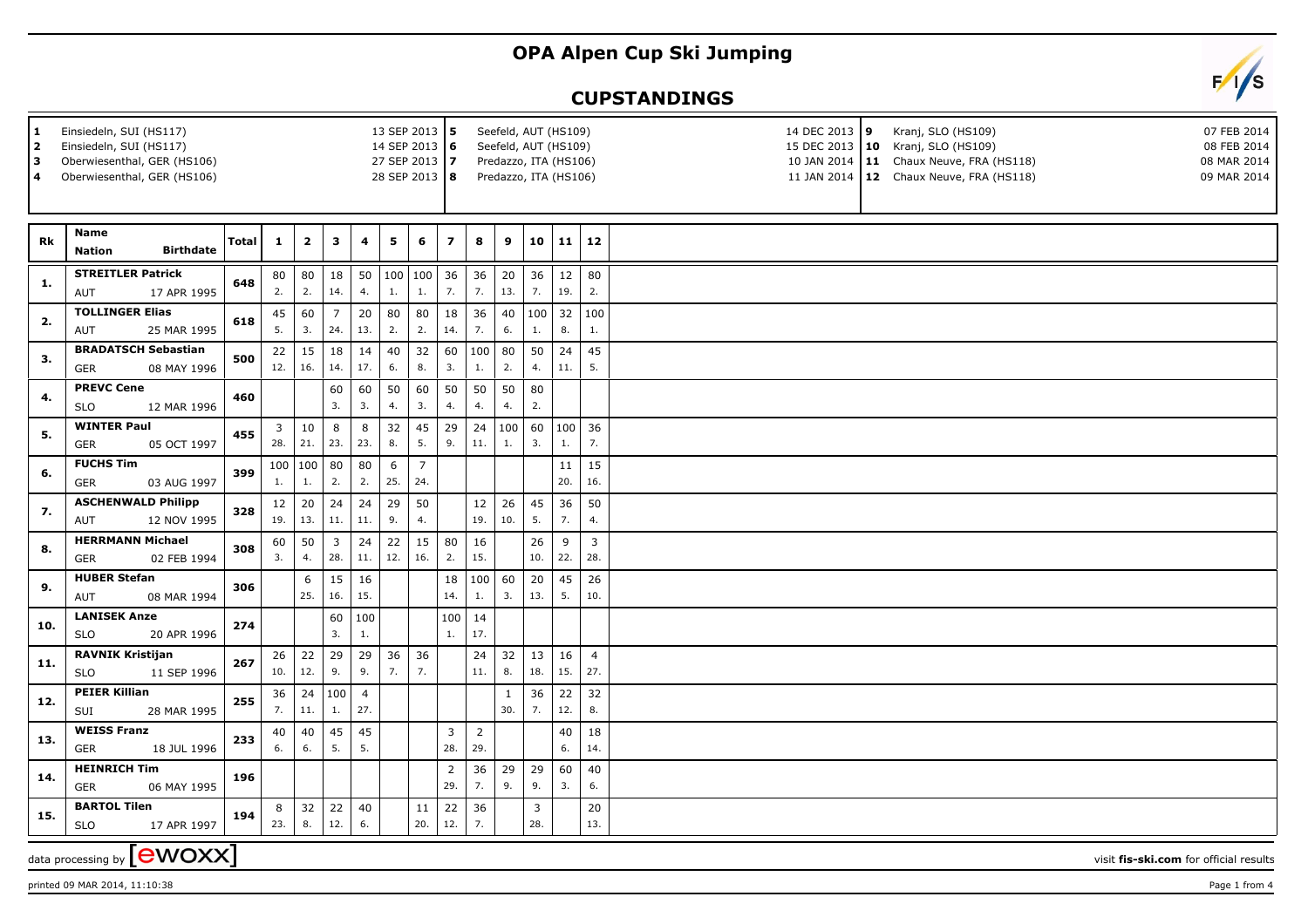## **OPA Alpen Cup Ski Jumping**



## **CUPSTANDINGS**

| Seefeld, AUT (HS109)<br>1<br>Einsiedeln, SUI (HS117)<br>13 SEP 2013 5<br>Einsiedeln, SUI (HS117)<br>Seefeld, AUT (HS109)<br>2<br>14 SEP 2013 6<br>3<br>Oberwiesenthal, GER (HS106)<br>27 SEP 2013 7<br>Predazzo, ITA (HS106)<br>Oberwiesenthal, GER (HS106)<br>28 SEP 2013 8<br>Predazzo, ITA (HS106)<br>4 |                                                      |              |              |                  |                       |                       |           |                       |                       |                       |                     |           | 14 DEC 2013 9<br>Kranj, SLO (HS109)<br>07 FEB 2014<br>15 DEC 2013   10 Kranj, SLO (HS109)<br>08 FEB 2014<br>10 JAN 2014   11 Chaux Neuve, FRA (HS118)<br>08 MAR 2014<br>11 JAN 2014   12 Chaux Neuve, FRA (HS118)<br>09 MAR 2014 |                       |  |
|------------------------------------------------------------------------------------------------------------------------------------------------------------------------------------------------------------------------------------------------------------------------------------------------------------|------------------------------------------------------|--------------|--------------|------------------|-----------------------|-----------------------|-----------|-----------------------|-----------------------|-----------------------|---------------------|-----------|----------------------------------------------------------------------------------------------------------------------------------------------------------------------------------------------------------------------------------|-----------------------|--|
| Rk                                                                                                                                                                                                                                                                                                         | Name<br><b>Birthdate</b><br><b>Nation</b>            | <b>Total</b> | $\mathbf{1}$ | $\mathbf{2}$     | 3                     | 4                     | 5         | 6                     | $\overline{ }$        | 8                     | 9                   | 10        | 11                                                                                                                                                                                                                               | 12                    |  |
| 1.                                                                                                                                                                                                                                                                                                         | <b>STREITLER Patrick</b><br>17 APR 1995<br>AUT       | 648          | 80<br>2.     | ${\bf 80}$<br>2. | 18<br>14.             | 50<br>4.              | 1.        | 100   100<br>1.       | 36<br>7.              | 36<br>7.              | $20\,$<br>13.       | 36<br>7.  | 12<br>19.                                                                                                                                                                                                                        | 80<br>2.              |  |
| 2.                                                                                                                                                                                                                                                                                                         | <b>TOLLINGER Elias</b><br>AUT<br>25 MAR 1995         | 618          | 45<br>5.     | 60<br>3.         | $\overline{7}$<br>24. | 20<br>13.             | 80<br>2.  | 80<br>2.              | 18<br>14.             | 36<br>7.              | 40<br>6.            | 100<br>1. | 32<br>8.                                                                                                                                                                                                                         | 100<br>1.             |  |
| 3.                                                                                                                                                                                                                                                                                                         | <b>BRADATSCH Sebastian</b><br>08 MAY 1996<br>GER     | 500          | 22<br>12.    | 15<br>16.        | 18<br>14.             | 14<br>17.             | 40<br>6.  | 32<br>8.              | 60<br>3.              | 100<br>1.             | 80<br>2.            | 50<br>4.  | 24<br>11.                                                                                                                                                                                                                        | 45<br>5.              |  |
| 4.                                                                                                                                                                                                                                                                                                         | <b>PREVC Cene</b><br><b>SLO</b><br>12 MAR 1996       | 460          |              |                  | 60<br>3.              | 60<br>3.              | 50<br>4.  | 60<br>3.              | 50<br>4.              | 50<br>4.              | 50<br>4.            | 80<br>2.  |                                                                                                                                                                                                                                  |                       |  |
| 5.                                                                                                                                                                                                                                                                                                         | <b>WINTER Paul</b><br><b>GER</b><br>05 OCT 1997      | 455          | 3<br>28.     | $10\,$<br>21.    | 8<br>23.              | 8<br>23.              | 32<br>8.  | 45<br>5.              | 29<br>9.              | 24<br>11.             | 100<br>1.           | 60<br>3.  | 100<br>1.                                                                                                                                                                                                                        | 36<br>7.              |  |
| 6.                                                                                                                                                                                                                                                                                                         | <b>FUCHS Tim</b><br><b>GER</b><br>03 AUG 1997        | 399          | 100<br>1.    | 100<br>1.        | 80<br>2.              | 80<br>2.              | 6<br>25.  | $\overline{7}$<br>24. |                       |                       |                     |           | 11<br>20.                                                                                                                                                                                                                        | 15<br>16.             |  |
| 7.                                                                                                                                                                                                                                                                                                         | <b>ASCHENWALD Philipp</b><br>12 NOV 1995<br>AUT      | 328          | 12<br>19.    | 20<br>13.        | 24<br>11.             | 24<br>11.             | 29<br>9.  | 50<br>4.              |                       | 12<br>19.             | 26<br>10.           | 45<br>5.  | 36<br>7.                                                                                                                                                                                                                         | 50<br>4.              |  |
| 8.                                                                                                                                                                                                                                                                                                         | <b>HERRMANN Michael</b><br>02 FEB 1994<br><b>GER</b> | 308          | 60<br>3.     | 50<br>4.         | $\overline{3}$<br>28. | 24<br>11.             | 22<br>12. | 15<br>16.             | 80<br>2.              | 16<br>15.             |                     | 26<br>10. | 9<br>22.                                                                                                                                                                                                                         | $\overline{3}$<br>28. |  |
| 9.                                                                                                                                                                                                                                                                                                         | <b>HUBER Stefan</b><br><b>AUT</b><br>08 MAR 1994     | 306          |              | 6<br>25.         | 15<br>16.             | 16<br>15.             |           |                       | 18<br>14.             | 100<br>1.             | 60<br>3.            | 20<br>13. | 45<br>5.                                                                                                                                                                                                                         | 26<br>10.             |  |
| 10.                                                                                                                                                                                                                                                                                                        | <b>LANISEK Anze</b><br><b>SLO</b><br>20 APR 1996     | 274          |              |                  | 60<br>3.              | 100<br>1.             |           |                       | 100<br>1.             | 14<br>17.             |                     |           |                                                                                                                                                                                                                                  |                       |  |
| 11.                                                                                                                                                                                                                                                                                                        | <b>RAVNIK Kristijan</b><br><b>SLO</b><br>11 SEP 1996 | 267          | 26<br>10.    | 22<br>12.        | 29<br>9.              | 29<br>9.              | 36<br>7.  | 36<br>7.              |                       | 24<br>11.             | 32<br>8.            | 13<br>18. | 16<br>15.                                                                                                                                                                                                                        | $\overline{4}$<br>27. |  |
| 12.                                                                                                                                                                                                                                                                                                        | <b>PEIER Killian</b><br>SUI<br>28 MAR 1995           | 255          | 36<br>7.     | 24<br>11.        | 100<br>1.             | $\overline{4}$<br>27. |           |                       |                       |                       | $\mathbf{1}$<br>30. | 36<br>7.  | 22<br>12.                                                                                                                                                                                                                        | 32<br>8.              |  |
| 13.                                                                                                                                                                                                                                                                                                        | <b>WEISS Franz</b><br>GER<br>18 JUL 1996             | 233          | 40<br>6.     | 40<br>6.         | 45<br>5.              | 45<br>5.              |           |                       | 3<br>28.              | $\overline{2}$<br>29. |                     |           | 40<br>6.                                                                                                                                                                                                                         | 18<br>14.             |  |
| 14.                                                                                                                                                                                                                                                                                                        | <b>HEINRICH Tim</b><br><b>GER</b><br>06 MAY 1995     | 196          |              |                  |                       |                       |           |                       | $\overline{2}$<br>29. | 36<br>7.              | 29<br>9.            | 29<br>9.  | 60<br>3.                                                                                                                                                                                                                         | 40<br>6.              |  |
| 15.                                                                                                                                                                                                                                                                                                        | <b>BARTOL Tilen</b><br><b>SLO</b><br>17 APR 1997     | 194          | 8<br>23.     | 32<br>8.         | 22<br>12.             | 40<br>6.              |           | 11<br>20.             | 22<br>12.             | 36<br>7.              |                     | 3<br>28.  |                                                                                                                                                                                                                                  | $20\,$<br>13.         |  |
| data processing by <b>[CWOXX</b> ]<br>visit fis-ski.com for official results                                                                                                                                                                                                                               |                                                      |              |              |                  |                       |                       |           |                       |                       |                       |                     |           |                                                                                                                                                                                                                                  |                       |  |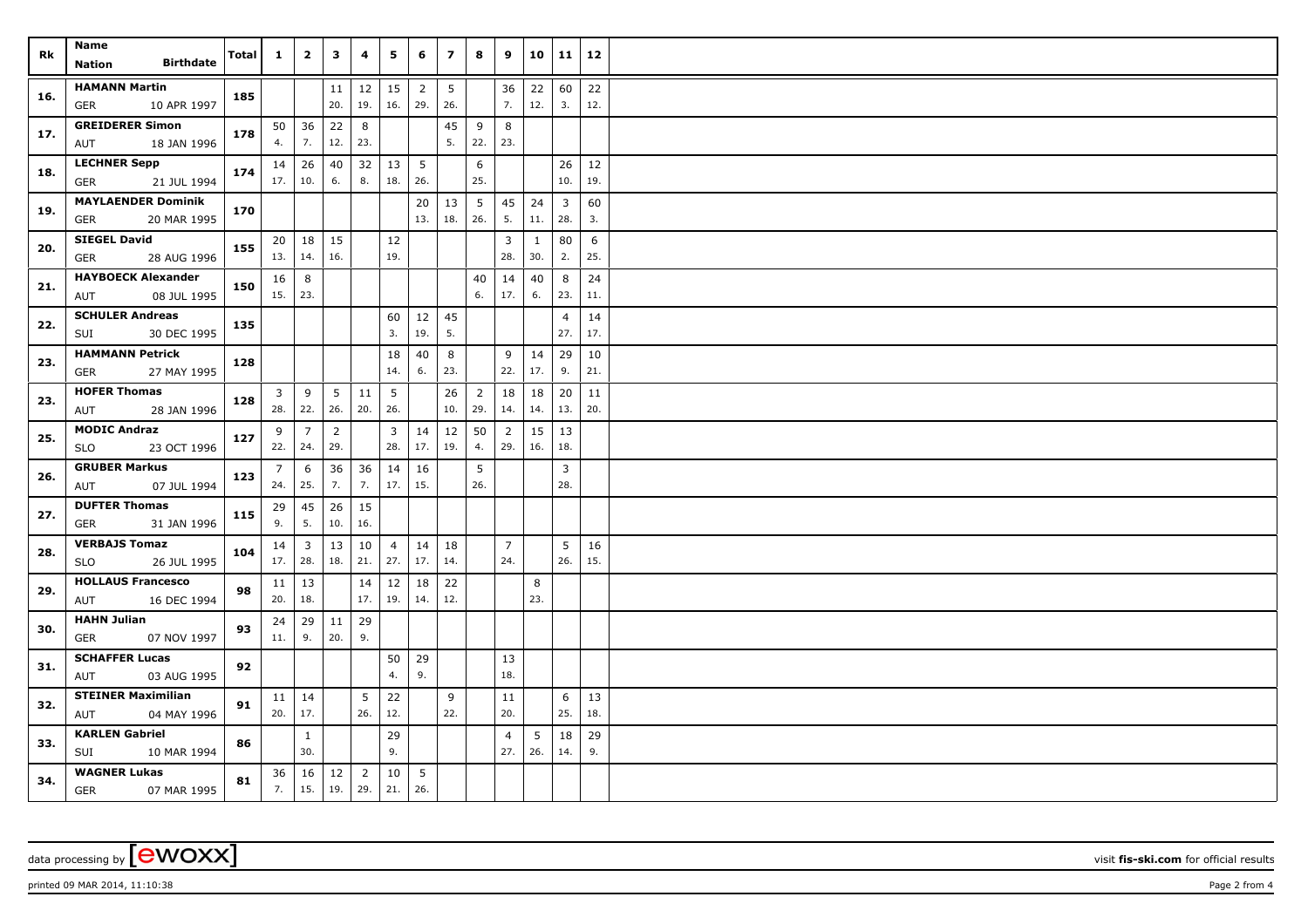| Rk  | Name<br><b>Birthdate</b><br><b>Nation</b>  | Total | $\mathbf{1}$   | $\overline{2}$ | 3               | 4              | 5         | 6                     | $\overline{ }$ | 8              | 9              | 10        | 11             | 12        |  |
|-----|--------------------------------------------|-------|----------------|----------------|-----------------|----------------|-----------|-----------------------|----------------|----------------|----------------|-----------|----------------|-----------|--|
|     |                                            |       |                |                |                 |                |           |                       |                |                |                |           |                |           |  |
| 16. | <b>HAMANN Martin</b><br>GER<br>10 APR 1997 | 185   |                |                | 11<br>20.       | 12<br>19.      | 15<br>16. | $\overline{2}$<br>29. | 5<br>26.       |                | 36<br>7.       | 22<br>12. | 60<br>3.       | 22<br>12. |  |
|     | <b>GREIDERER Simon</b>                     |       |                | $50 \mid 36$   | 22              | 8              |           |                       | 45             | 9              | 8              |           |                |           |  |
| 17. | 18 JAN 1996<br>AUT                         | 178   | 4.             | 7.             | 12.             | 23.            |           |                       | 5.             | 22.            | 23.            |           |                |           |  |
|     | <b>LECHNER Sepp</b>                        |       |                | $14 \mid 26$   | 40              | 32             | 13        | $5\overline{5}$       |                | 6              |                |           | 26             | 12        |  |
| 18. | 21 JUL 1994<br>GER                         | 174   | 17.            | 10.            | 6.              | 8.             | 18.       | 26.                   |                | 25.            |                |           | 10.            | 19.       |  |
| 19. | <b>MAYLAENDER Dominik</b>                  | 170   |                |                |                 |                |           | 20                    | 13             | 5              | 45             | 24        | 3              | 60        |  |
|     | 20 MAR 1995<br><b>GER</b>                  |       |                |                |                 |                |           | 13.                   | 18.            | 26.            | 5.             | 11.       | 28.            | 3.        |  |
| 20. | <b>SIEGEL David</b>                        | 155   | 20             | 18             | 15              |                | 12        |                       |                |                | 3              | 1         | 80             | 6         |  |
|     | 28 AUG 1996<br>GER                         |       |                | 13.   14.      | 16.             |                | 19.       |                       |                |                | 28.            | 30.       | 2.             | 25.       |  |
| 21. | <b>HAYBOECK Alexander</b>                  | 150   | 16             | 8              |                 |                |           |                       |                | 40             | 14             | 40        | 8              | 24        |  |
|     | 08 JUL 1995<br>AUT                         |       | $15.$ 23.      |                |                 |                |           |                       |                | 6.             | 17.            | 6.        | 23.            | 11.       |  |
|     | <b>SCHULER Andreas</b>                     | 135   |                |                |                 |                | 60        | 12                    | 45             |                |                |           | 4              | 14        |  |
| 22. | 30 DEC 1995<br>SUI                         |       |                |                |                 |                | 3.        | 19.                   | 5.             |                |                |           | 27.            | 17.       |  |
|     | <b>HAMMANN Petrick</b>                     |       |                |                |                 |                | 18        | 40                    | 8              |                | 9              | 14        | 29             | 10        |  |
| 23. | GER<br>27 MAY 1995                         | 128   |                |                |                 |                | 14.       | 6.                    | 23.            |                | 22.            | 17.       | 9.             | 21.       |  |
|     | <b>HOFER Thomas</b>                        |       | 3              | 9              | $5\overline{)}$ | 11             | 5         |                       | 26             | $\overline{2}$ | 18             | 18        | 20             | 11        |  |
| 23. | AUT<br>28 JAN 1996                         | 128   | 28.            | 22.            | 26.             | 20.            | 26.       |                       | 10.            | 29.            | 14.            | 14.       | 13.            | 20.       |  |
|     | <b>MODIC Andraz</b>                        |       | 9              | $\overline{7}$ | $\overline{2}$  |                | 3         | 14                    | $12\,$         | 50             | $\overline{2}$ | 15        | 13             |           |  |
| 25. | <b>SLO</b><br>23 OCT 1996                  | 127   | 22.            | 24.            | 29.             |                | 28.       | 17.                   | 19.            | 4.             | 29.            | 16.       | 18.            |           |  |
|     | <b>GRUBER Markus</b>                       |       | $\overline{7}$ | 6              | 36              | 36             | 14        | 16                    |                | 5              |                |           | 3              |           |  |
| 26. | 07 JUL 1994<br>AUT                         | 123   | 24.            | 25.            | 7.              | 7.             | 17.       | 15.                   |                | 26.            |                |           | 28.            |           |  |
|     | <b>DUFTER Thomas</b>                       | 115   | 29             | 45             | 26              | 15             |           |                       |                |                |                |           |                |           |  |
| 27. | GER<br>31 JAN 1996                         |       | 9.             | 5.             | 10.             | 16.            |           |                       |                |                |                |           |                |           |  |
|     | <b>VERBAJS Tomaz</b>                       |       | 14             | $\overline{3}$ | 13              | 10             | 4         | 14                    | 18             |                | $\overline{7}$ |           | 5 <sup>5</sup> | 16        |  |
| 28. | SLO<br>26 JUL 1995                         | 104   | 17.            | 28.            | 18.             | 21.            | 27.       | 17.                   | 14.            |                | 24.            |           | 26.            | 15.       |  |
|     | <b>HOLLAUS Francesco</b>                   |       | 11             | 13             |                 | 14             | 12        | 18                    | 22             |                |                | 8         |                |           |  |
| 29. | 16 DEC 1994<br>AUT                         | 98    | 20.            | 18.            |                 | 17.            | 19.       | 14.                   | 12.            |                |                | 23.       |                |           |  |
|     | <b>HAHN Julian</b>                         |       | 24             | 29             | 11              | 29             |           |                       |                |                |                |           |                |           |  |
| 30. | <b>GER</b><br>07 NOV 1997                  | 93    | 11.            | 9.             | 20.             | 9.             |           |                       |                |                |                |           |                |           |  |
|     | <b>SCHAFFER Lucas</b>                      |       |                |                |                 |                | 50        | 29                    |                |                | 13             |           |                |           |  |
| 31. | 03 AUG 1995<br>AUT                         | 92    |                |                |                 |                | 4.        | 9.                    |                |                | 18.            |           |                |           |  |
|     | <b>STEINER Maximilian</b>                  |       |                | $11 \mid 14$   |                 | 5              | 22        |                       | 9              |                | 11             |           | 6              | 13        |  |
| 32. | 04 MAY 1996<br>AUT                         | 91    | 20.            | 17.            |                 | 26.            | 12.       |                       | 22.            |                | 20.            |           | 25.            | 18.       |  |
|     | <b>KARLEN Gabriel</b>                      |       |                | $\mathbf{1}$   |                 |                | 29        |                       |                |                | $\overline{4}$ | 5         | 18             | 29        |  |
| 33. | 10 MAR 1994<br>SUI                         | 86    |                | 30.            |                 |                | 9.        |                       |                |                | 27.            | 26.       | 14.            | 9.        |  |
|     | <b>WAGNER Lukas</b>                        |       | 36             | 16             | $12$            | $\overline{2}$ | 10        | 5                     |                |                |                |           |                |           |  |
| 34. | <b>GER</b><br>07 MAR 1995                  | 81    | 7.             | 15.            | 19.             | 29.            | 21.       | 26.                   |                |                |                |           |                |           |  |

## data processing by **CWOXX** visit fis-ski.com for official results

printed 09 MAR 2014, 11:10:38 **Page 2** from 4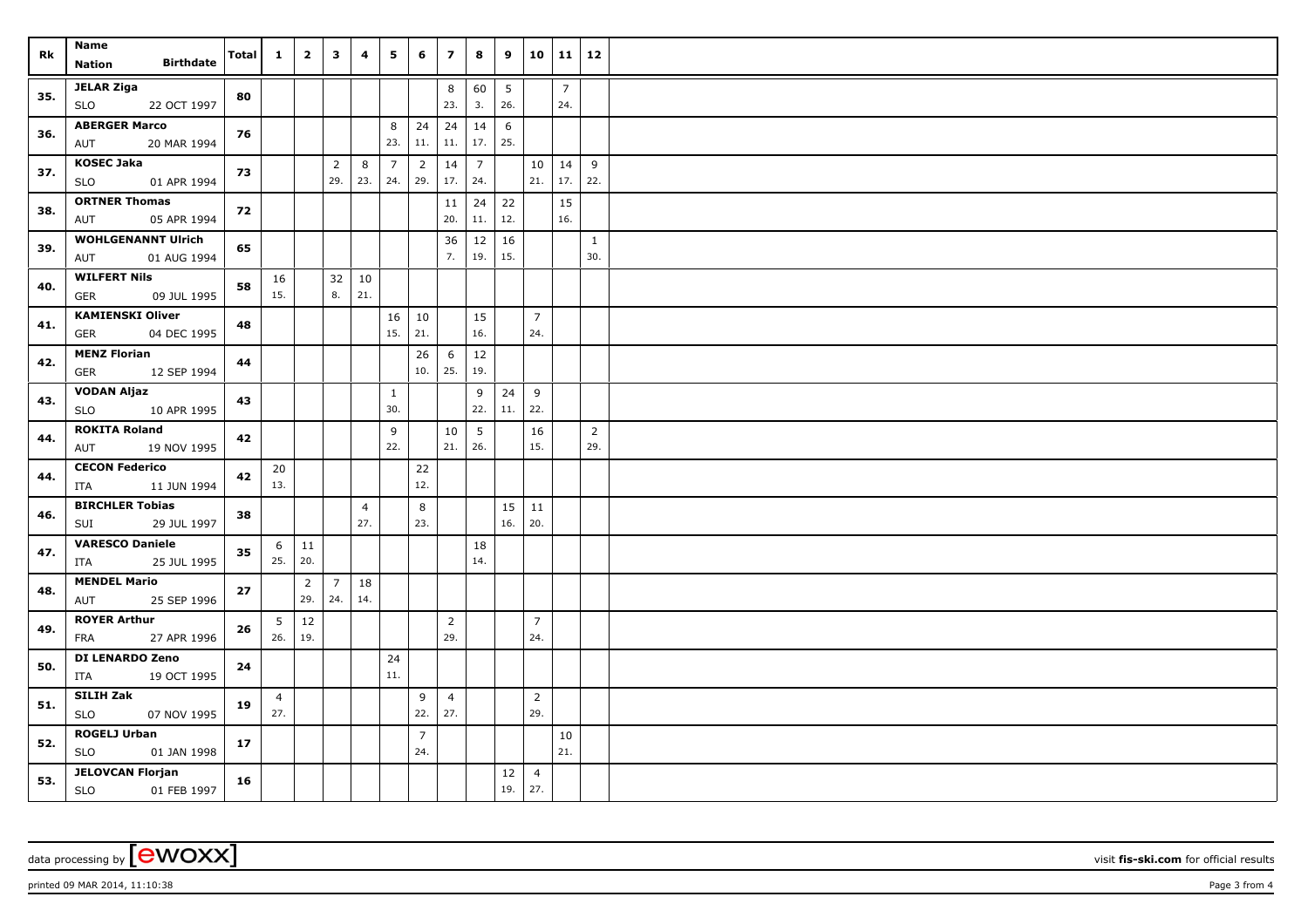| Rk  | Name<br><b>Birthdate</b><br>Nation                | Total | $\mathbf{1}$   | $\overline{2}$ | $\overline{\mathbf{3}}$ | 4              | 5                     | 6                     | $\overline{z}$        | 8                   | 9         | 10                    | $11 \mid 12$          |                |  |
|-----|---------------------------------------------------|-------|----------------|----------------|-------------------------|----------------|-----------------------|-----------------------|-----------------------|---------------------|-----------|-----------------------|-----------------------|----------------|--|
|     |                                                   |       |                |                |                         |                |                       |                       |                       |                     |           |                       |                       |                |  |
| 35. | <b>JELAR Ziga</b><br><b>SLO</b><br>22 OCT 1997    | 80    |                |                |                         |                |                       |                       | 8<br>23.              | 60<br>3.            | 5<br>26.  |                       | $\overline{7}$<br>24. |                |  |
| 36. | <b>ABERGER Marco</b>                              | 76    |                |                |                         |                | 8                     | 24                    | 24                    | 14                  | 6         |                       |                       |                |  |
|     | 20 MAR 1994<br>AUT                                |       |                |                |                         |                | 23.                   | 11.                   | $11.$                 | $17.$ 25.           |           |                       |                       |                |  |
| 37. | <b>KOSEC Jaka</b>                                 | 73    |                |                | $\overline{2}$<br>29.   | 8              | $\overline{7}$<br>24. | $\overline{2}$<br>29. | 14<br>17.             | $\overline{7}$      |           | 10<br>21.             | 14<br>17.             | 9<br>22.       |  |
|     | <b>SLO</b><br>01 APR 1994<br><b>ORTNER Thomas</b> |       |                |                |                         | 23.            |                       |                       |                       | 24.                 |           |                       |                       |                |  |
| 38. | 05 APR 1994<br>AUT                                | 72    |                |                |                         |                |                       |                       | 11<br>20.             | $24 \mid 22$<br>11. | 12.       |                       | 15<br>16.             |                |  |
|     | <b>WOHLGENANNT Ulrich</b>                         |       |                |                |                         |                |                       |                       | 36                    | $12 \mid 16$        |           |                       |                       | $\mathbf{1}$   |  |
| 39. | 01 AUG 1994<br>AUT                                | 65    |                |                |                         |                |                       |                       | 7.                    | 19.                 | 15.       |                       |                       | 30.            |  |
| 40. | <b>WILFERT Nils</b>                               | 58    | 16             |                | 32                      | 10             |                       |                       |                       |                     |           |                       |                       |                |  |
|     | 09 JUL 1995<br><b>GER</b>                         |       | 15.            |                | 8.                      | 21.            |                       |                       |                       |                     |           |                       |                       |                |  |
| 41. | <b>KAMIENSKI Oliver</b>                           | 48    |                |                |                         |                | 16                    | 10                    |                       | 15                  |           | $\overline{7}$        |                       |                |  |
|     | <b>GER</b><br>04 DEC 1995                         |       |                |                |                         |                | 15.                   | 21.                   |                       | 16.                 |           | 24.                   |                       |                |  |
| 42. | <b>MENZ Florian</b>                               | 44    |                |                |                         |                |                       | 26<br>10.             | 6<br>25.              | 12<br>19.           |           |                       |                       |                |  |
|     | 12 SEP 1994<br>GER                                |       |                |                |                         |                |                       |                       |                       |                     |           |                       |                       |                |  |
| 43. | <b>VODAN Aljaz</b><br><b>SLO</b><br>10 APR 1995   | 43    |                |                |                         |                | $\mathbf{1}$<br>30.   |                       |                       | 9<br>22.            | 24<br>11. | 9<br>22.              |                       |                |  |
|     | <b>ROKITA Roland</b>                              |       |                |                |                         |                | 9                     |                       | 10                    | 5                   |           | 16                    |                       | $\overline{2}$ |  |
| 44. | 19 NOV 1995<br>AUT                                | 42    |                |                |                         |                | 22.                   |                       | 21.                   | 26.                 |           | 15.                   |                       | 29.            |  |
|     | <b>CECON Federico</b>                             |       | 20             |                |                         |                |                       | $22$                  |                       |                     |           |                       |                       |                |  |
| 44. | ITA<br>11 JUN 1994                                | 42    | 13.            |                |                         |                |                       | 12.                   |                       |                     |           |                       |                       |                |  |
| 46. | <b>BIRCHLER Tobias</b>                            | 38    |                |                |                         | $\overline{4}$ |                       | 8                     |                       |                     | 15        | 11                    |                       |                |  |
|     | SUI<br>29 JUL 1997                                |       |                |                |                         | 27.            |                       | 23.                   |                       |                     | 16.       | 20.                   |                       |                |  |
| 47. | <b>VARESCO Daniele</b>                            | 35    | 6              | $\vert$ 11     |                         |                |                       |                       |                       | 18                  |           |                       |                       |                |  |
|     | 25 JUL 1995<br>ITA                                |       | 25.            | 20.            |                         |                |                       |                       |                       | 14.                 |           |                       |                       |                |  |
| 48. | <b>MENDEL Mario</b>                               | 27    |                | $\overline{2}$ | $\overline{7}$          | 18             |                       |                       |                       |                     |           |                       |                       |                |  |
|     | 25 SEP 1996<br>AUT                                |       |                | 29.            | 24.                     | 14.            |                       |                       |                       |                     |           |                       |                       |                |  |
| 49. | <b>ROYER Arthur</b><br>27 APR 1996<br>FRA         | 26    | 5<br>26.       | 12<br>19.      |                         |                |                       |                       | $\overline{2}$<br>29. |                     |           | $\overline{7}$<br>24. |                       |                |  |
|     | DI LENARDO Zeno                                   |       |                |                |                         |                | 24                    |                       |                       |                     |           |                       |                       |                |  |
| 50. | 19 OCT 1995<br>ITA                                | 24    |                |                |                         |                | $11.$                 |                       |                       |                     |           |                       |                       |                |  |
|     | SILIH Zak                                         |       | $\overline{4}$ |                |                         |                |                       | 9                     | $\overline{4}$        |                     |           | $\overline{2}$        |                       |                |  |
| 51. | <b>SLO</b><br>07 NOV 1995                         | 19    | 27.            |                |                         |                |                       | 22.                   | 27.                   |                     |           | 29.                   |                       |                |  |
| 52. | <b>ROGELJ Urban</b>                               | 17    |                |                |                         |                |                       | $\overline{7}$        |                       |                     |           |                       | 10                    |                |  |
|     | SLO<br>01 JAN 1998                                |       |                |                |                         |                |                       | 24.                   |                       |                     |           |                       | 21.                   |                |  |
| 53. | <b>JELOVCAN Florjan</b>                           | 16    |                |                |                         |                |                       |                       |                       |                     | 12        | $\overline{4}$        |                       |                |  |
|     | SLO<br>01 FEB 1997                                |       |                |                |                         |                |                       |                       |                       |                     | 19.       | 27.                   |                       |                |  |

printed 09 MAR 2014, 11:10:38 **Page 3** from 4